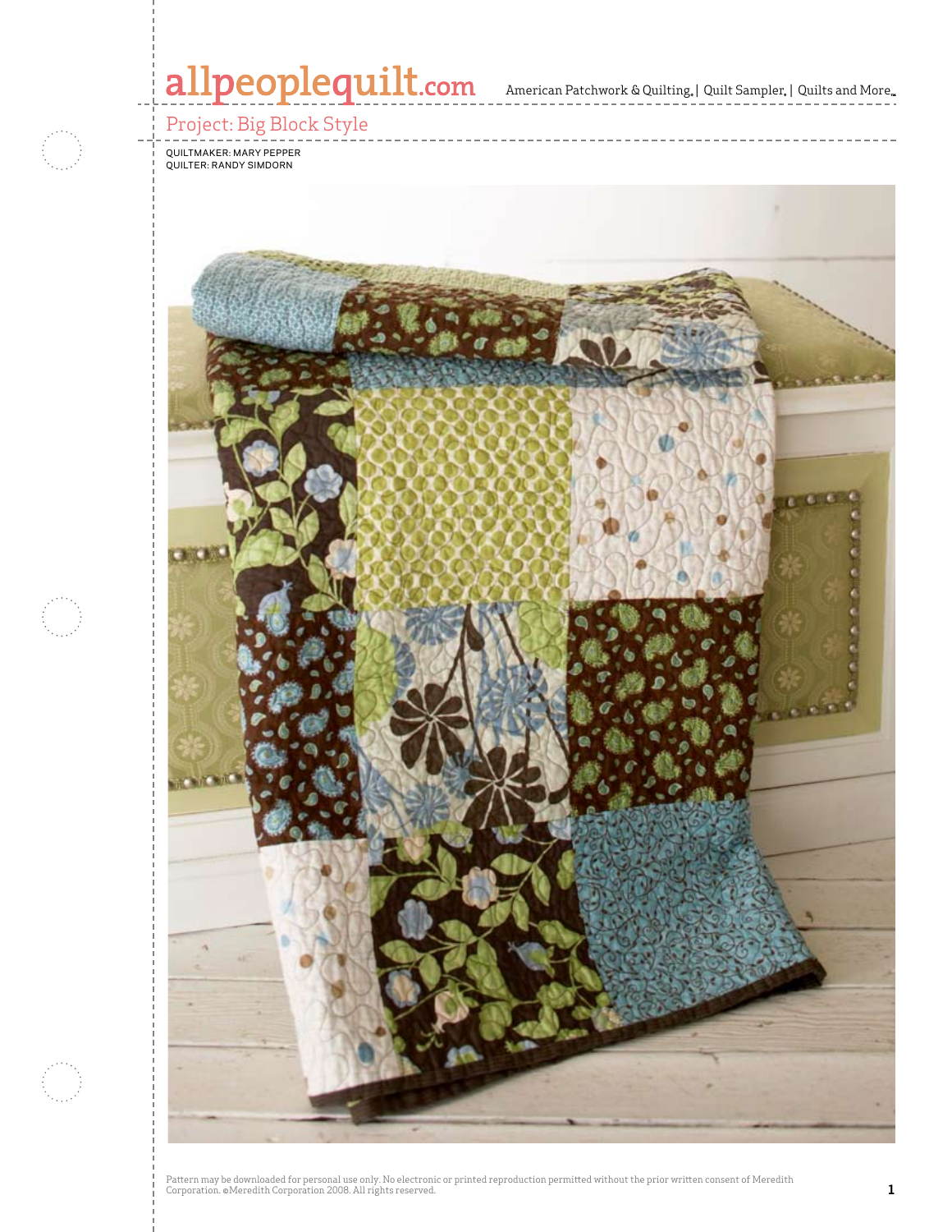# allpeoplequilt.com<br>American Patchwork & Quilting, | Quilt Sampler, | Quilts and More..

## Project: Big Block Style

Quiltmaker: Mary Pepper quilter: Randy Simdorn

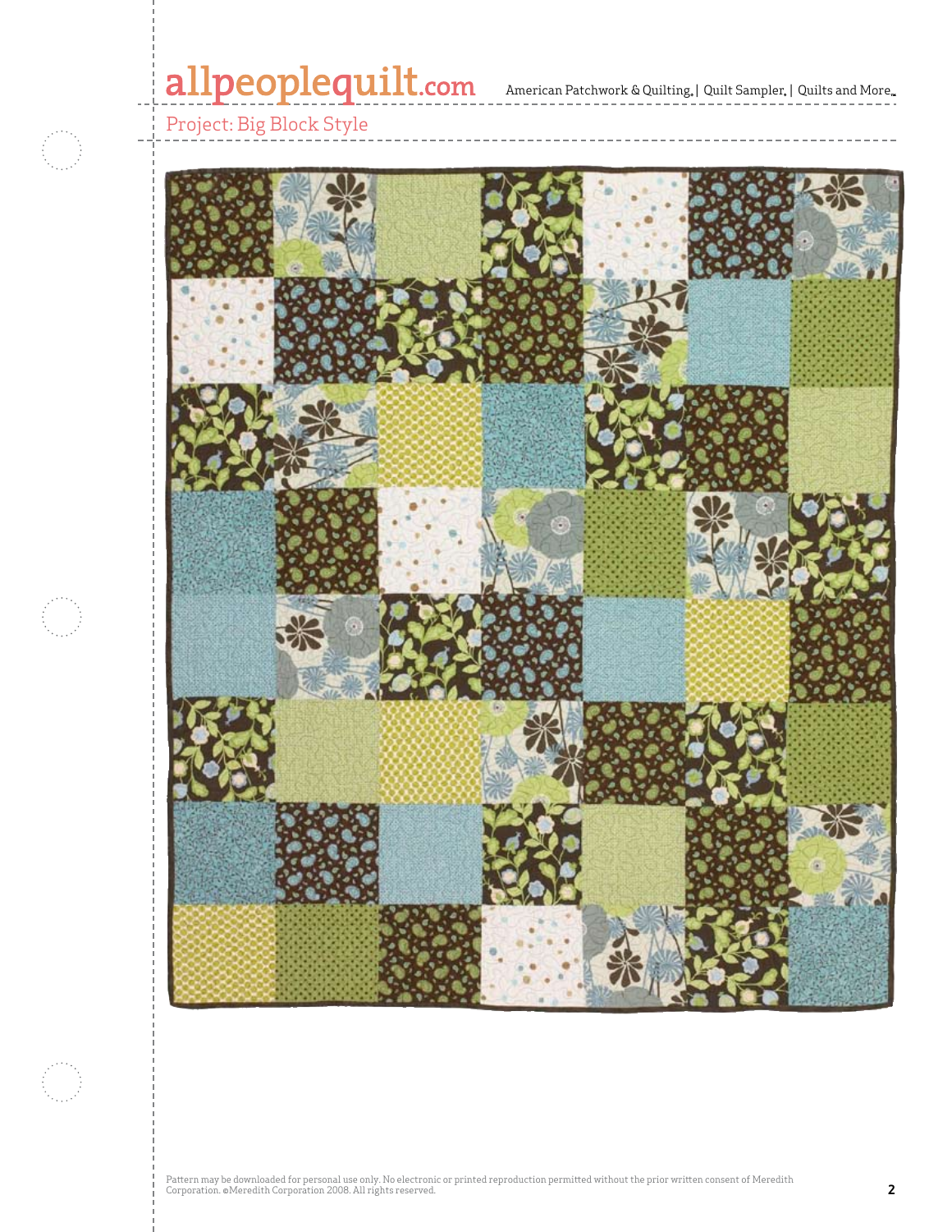# allpeoplequilt.com<br>American Patchwork & Quilting, | Quilt Sampler, | Quilts and More..



### Project: Big Block Style